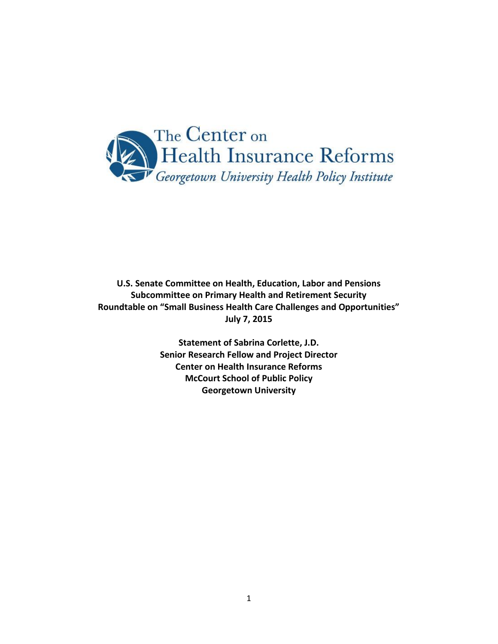

**U.S. Senate Committee on Health, Education, Labor and Pensions Subcommittee on Primary Health and Retirement Security Roundtable on "Small Business Health Care Challenges and Opportunities" July 7, 2015**

> **Statement of Sabrina Corlette, J.D. Senior Research Fellow and Project Director Center on Health Insurance Reforms McCourt School of Public Policy Georgetown University**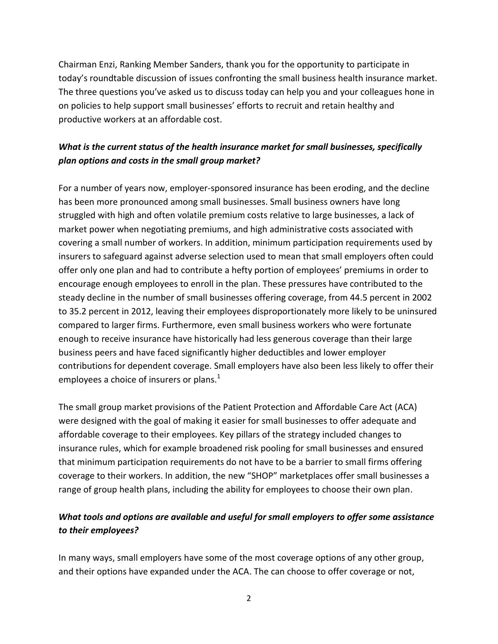Chairman Enzi, Ranking Member Sanders, thank you for the opportunity to participate in today's roundtable discussion of issues confronting the small business health insurance market. The three questions you've asked us to discuss today can help you and your colleagues hone in on policies to help support small businesses' efforts to recruit and retain healthy and productive workers at an affordable cost.

# *What is the current status of the health insurance market for small businesses, specifically plan options and costs in the small group market?*

For a number of years now, employer-sponsored insurance has been eroding, and the decline has been more pronounced among small businesses. Small business owners have long struggled with high and often volatile premium costs relative to large businesses, a lack of market power when negotiating premiums, and high administrative costs associated with covering a small number of workers. In addition, minimum participation requirements used by insurers to safeguard against adverse selection used to mean that small employers often could offer only one plan and had to contribute a hefty portion of employees' premiums in order to encourage enough employees to enroll in the plan. These pressures have contributed to the steady decline in the number of small businesses offering coverage, from 44.5 percent in 2002 to 35.2 percent in 2012, leaving their employees disproportionately more likely to be uninsured compared to larger firms. Furthermore, even small business workers who were fortunate enough to receive insurance have historically had less generous coverage than their large business peers and have faced significantly higher deductibles and lower employer contributions for dependent coverage. Small employers have also been less likely to offer their employees a choice of insurers or plans. $<sup>1</sup>$ </sup>

The small group market provisions of the Patient Protection and Affordable Care Act (ACA) were designed with the goal of making it easier for small businesses to offer adequate and affordable coverage to their employees. Key pillars of the strategy included changes to insurance rules, which for example broadened risk pooling for small businesses and ensured that minimum participation requirements do not have to be a barrier to small firms offering coverage to their workers. In addition, the new "SHOP" marketplaces offer small businesses a range of group health plans, including the ability for employees to choose their own plan.

# *What tools and options are available and useful for small employers to offer some assistance to their employees?*

In many ways, small employers have some of the most coverage options of any other group, and their options have expanded under the ACA. The can choose to offer coverage or not,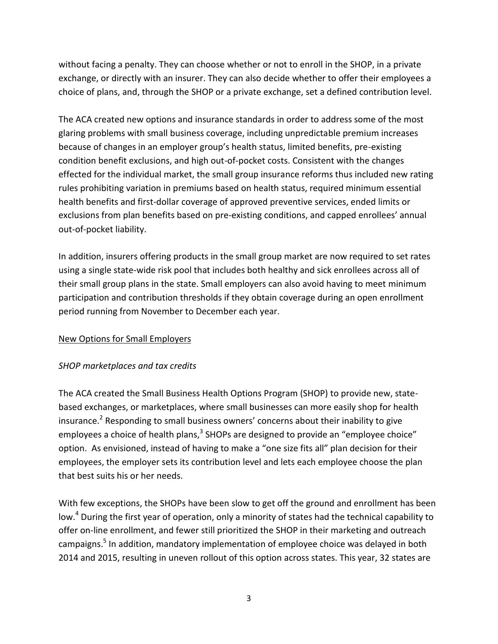without facing a penalty. They can choose whether or not to enroll in the SHOP, in a private exchange, or directly with an insurer. They can also decide whether to offer their employees a choice of plans, and, through the SHOP or a private exchange, set a defined contribution level.

The ACA created new options and insurance standards in order to address some of the most glaring problems with small business coverage, including unpredictable premium increases because of changes in an employer group's health status, limited benefits, pre-existing condition benefit exclusions, and high out-of-pocket costs. Consistent with the changes effected for the individual market, the small group insurance reforms thus included new rating rules prohibiting variation in premiums based on health status, required minimum essential health benefits and first-dollar coverage of approved preventive services, ended limits or exclusions from plan benefits based on pre-existing conditions, and capped enrollees' annual out-of-pocket liability.

In addition, insurers offering products in the small group market are now required to set rates using a single state-wide risk pool that includes both healthy and sick enrollees across all of their small group plans in the state. Small employers can also avoid having to meet minimum participation and contribution thresholds if they obtain coverage during an open enrollment period running from November to December each year.

### New Options for Small Employers

### *SHOP marketplaces and tax credits*

The ACA created the Small Business Health Options Program (SHOP) to provide new, statebased exchanges, or marketplaces, where small businesses can more easily shop for health insurance.<sup>2</sup> Responding to small business owners' concerns about their inability to give employees a choice of health plans, $3$  SHOPs are designed to provide an "employee choice" option. As envisioned, instead of having to make a "one size fits all" plan decision for their employees, the employer sets its contribution level and lets each employee choose the plan that best suits his or her needs.

With few exceptions, the SHOPs have been slow to get off the ground and enrollment has been low.<sup>4</sup> During the first year of operation, only a minority of states had the technical capability to offer on-line enrollment, and fewer still prioritized the SHOP in their marketing and outreach campaigns.<sup>5</sup> In addition, mandatory implementation of employee choice was delayed in both 2014 and 2015, resulting in uneven rollout of this option across states. This year, 32 states are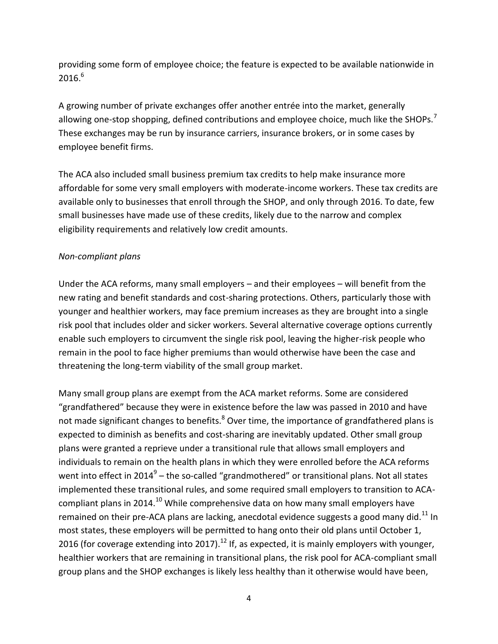providing some form of employee choice; the feature is expected to be available nationwide in  $2016.<sup>6</sup>$ 

A growing number of private exchanges offer another entrée into the market, generally allowing one-stop shopping, defined contributions and employee choice, much like the SHOPs.<sup>7</sup> These exchanges may be run by insurance carriers, insurance brokers, or in some cases by employee benefit firms.

The ACA also included small business premium tax credits to help make insurance more affordable for some very small employers with moderate-income workers. These tax credits are available only to businesses that enroll through the SHOP, and only through 2016. To date, few small businesses have made use of these credits, likely due to the narrow and complex eligibility requirements and relatively low credit amounts.

### *Non-compliant plans*

Under the ACA reforms, many small employers – and their employees – will benefit from the new rating and benefit standards and cost-sharing protections. Others, particularly those with younger and healthier workers, may face premium increases as they are brought into a single risk pool that includes older and sicker workers. Several alternative coverage options currently enable such employers to circumvent the single risk pool, leaving the higher-risk people who remain in the pool to face higher premiums than would otherwise have been the case and threatening the long-term viability of the small group market.

Many small group plans are exempt from the ACA market reforms. Some are considered "grandfathered" because they were in existence before the law was passed in 2010 and have not made significant changes to benefits. $8$  Over time, the importance of grandfathered plans is expected to diminish as benefits and cost-sharing are inevitably updated. Other small group plans were granted a reprieve under a transitional rule that allows small employers and individuals to remain on the health plans in which they were enrolled before the ACA reforms went into effect in 2014 $^9$  – the so-called "grandmothered" or transitional plans. Not all states implemented these transitional rules, and some required small employers to transition to ACAcompliant plans in 2014.<sup>10</sup> While comprehensive data on how many small employers have remained on their pre-ACA plans are lacking, anecdotal evidence suggests a good many did.<sup>11</sup> In most states, these employers will be permitted to hang onto their old plans until October 1, 2016 (for coverage extending into 2017).<sup>12</sup> If, as expected, it is mainly employers with younger, healthier workers that are remaining in transitional plans, the risk pool for ACA-compliant small group plans and the SHOP exchanges is likely less healthy than it otherwise would have been,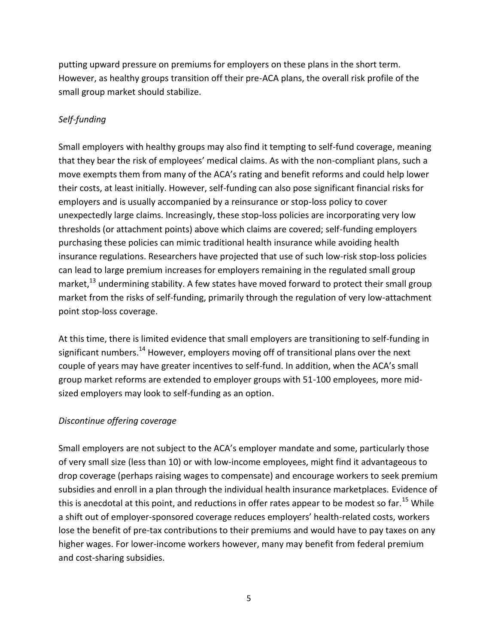putting upward pressure on premiums for employers on these plans in the short term. However, as healthy groups transition off their pre-ACA plans, the overall risk profile of the small group market should stabilize.

# *Self-funding*

Small employers with healthy groups may also find it tempting to self-fund coverage, meaning that they bear the risk of employees' medical claims. As with the non-compliant plans, such a move exempts them from many of the ACA's rating and benefit reforms and could help lower their costs, at least initially. However, self-funding can also pose significant financial risks for employers and is usually accompanied by a reinsurance or stop-loss policy to cover unexpectedly large claims. Increasingly, these stop-loss policies are incorporating very low thresholds (or attachment points) above which claims are covered; self-funding employers purchasing these policies can mimic traditional health insurance while avoiding health insurance regulations. Researchers have projected that use of such low-risk stop-loss policies can lead to large premium increases for employers remaining in the regulated small group market, $^{13}$  undermining stability. A few states have moved forward to protect their small group market from the risks of self-funding, primarily through the regulation of very low-attachment point stop-loss coverage.

At this time, there is limited evidence that small employers are transitioning to self-funding in significant numbers.<sup>14</sup> However, employers moving off of transitional plans over the next couple of years may have greater incentives to self-fund. In addition, when the ACA's small group market reforms are extended to employer groups with 51-100 employees, more midsized employers may look to self-funding as an option.

### *Discontinue offering coverage*

Small employers are not subject to the ACA's employer mandate and some, particularly those of very small size (less than 10) or with low-income employees, might find it advantageous to drop coverage (perhaps raising wages to compensate) and encourage workers to seek premium subsidies and enroll in a plan through the individual health insurance marketplaces. Evidence of this is anecdotal at this point, and reductions in offer rates appear to be modest so far.<sup>15</sup> While a shift out of employer-sponsored coverage reduces employers' health-related costs, workers lose the benefit of pre-tax contributions to their premiums and would have to pay taxes on any higher wages. For lower-income workers however, many may benefit from federal premium and cost-sharing subsidies.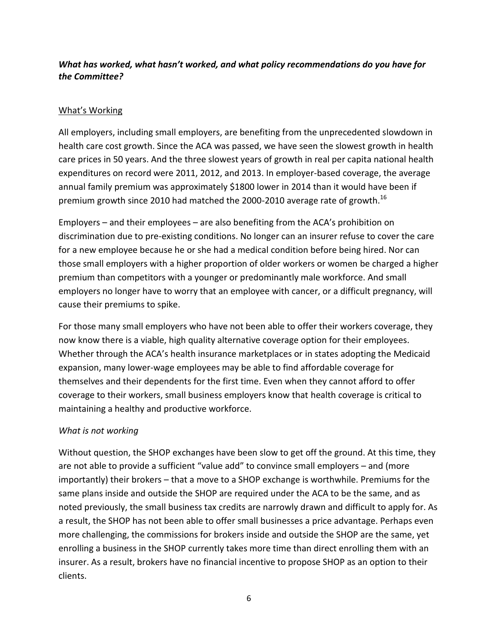### *What has worked, what hasn't worked, and what policy recommendations do you have for the Committee?*

### What's Working

All employers, including small employers, are benefiting from the unprecedented slowdown in health care cost growth. Since the ACA was passed, we have seen the slowest growth in health care prices in 50 years. And the three slowest years of growth in real per capita national health expenditures on record were 2011, 2012, and 2013. In employer-based coverage, the average annual family premium was approximately \$1800 lower in 2014 than it would have been if premium growth since 2010 had matched the 2000-2010 average rate of growth.<sup>16</sup>

Employers – and their employees – are also benefiting from the ACA's prohibition on discrimination due to pre-existing conditions. No longer can an insurer refuse to cover the care for a new employee because he or she had a medical condition before being hired. Nor can those small employers with a higher proportion of older workers or women be charged a higher premium than competitors with a younger or predominantly male workforce. And small employers no longer have to worry that an employee with cancer, or a difficult pregnancy, will cause their premiums to spike.

For those many small employers who have not been able to offer their workers coverage, they now know there is a viable, high quality alternative coverage option for their employees. Whether through the ACA's health insurance marketplaces or in states adopting the Medicaid expansion, many lower-wage employees may be able to find affordable coverage for themselves and their dependents for the first time. Even when they cannot afford to offer coverage to their workers, small business employers know that health coverage is critical to maintaining a healthy and productive workforce.

### *What is not working*

Without question, the SHOP exchanges have been slow to get off the ground. At this time, they are not able to provide a sufficient "value add" to convince small employers – and (more importantly) their brokers – that a move to a SHOP exchange is worthwhile. Premiums for the same plans inside and outside the SHOP are required under the ACA to be the same, and as noted previously, the small business tax credits are narrowly drawn and difficult to apply for. As a result, the SHOP has not been able to offer small businesses a price advantage. Perhaps even more challenging, the commissions for brokers inside and outside the SHOP are the same, yet enrolling a business in the SHOP currently takes more time than direct enrolling them with an insurer. As a result, brokers have no financial incentive to propose SHOP as an option to their clients.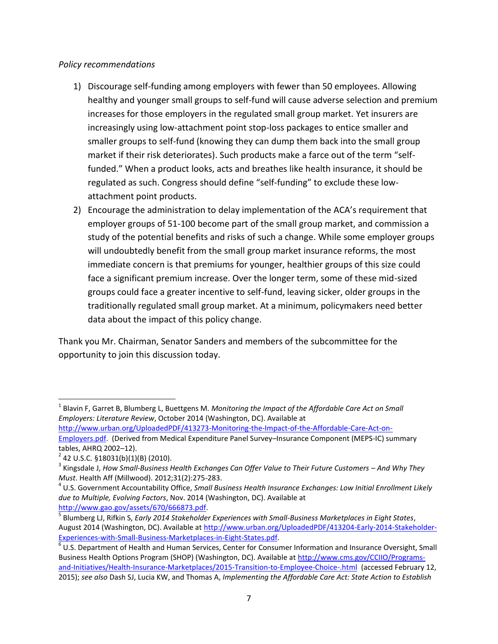#### *Policy recommendations*

- 1) Discourage self-funding among employers with fewer than 50 employees. Allowing healthy and younger small groups to self-fund will cause adverse selection and premium increases for those employers in the regulated small group market. Yet insurers are increasingly using low-attachment point stop-loss packages to entice smaller and smaller groups to self-fund (knowing they can dump them back into the small group market if their risk deteriorates). Such products make a farce out of the term "selffunded." When a product looks, acts and breathes like health insurance, it should be regulated as such. Congress should define "self-funding" to exclude these lowattachment point products.
- 2) Encourage the administration to delay implementation of the ACA's requirement that employer groups of 51-100 become part of the small group market, and commission a study of the potential benefits and risks of such a change. While some employer groups will undoubtedly benefit from the small group market insurance reforms, the most immediate concern is that premiums for younger, healthier groups of this size could face a significant premium increase. Over the longer term, some of these mid-sized groups could face a greater incentive to self-fund, leaving sicker, older groups in the traditionally regulated small group market. At a minimum, policymakers need better data about the impact of this policy change.

Thank you Mr. Chairman, Senator Sanders and members of the subcommittee for the opportunity to join this discussion today.

[http://www.urban.org/UploadedPDF/413273-Monitoring-the-Impact-of-the-Affordable-Care-Act-on-](http://www.urban.org/UploadedPDF/413273-Monitoring-the-Impact-of-the-Affordable-Care-Act-on-Employers.pdf)[Employers.pdf.](http://www.urban.org/UploadedPDF/413273-Monitoring-the-Impact-of-the-Affordable-Care-Act-on-Employers.pdf) (Derived from Medical Expenditure Panel Survey–Insurance Component (MEPS-IC) summary tables, AHRQ 2002–12).

 $\overline{a}$ 

<sup>&</sup>lt;sup>1</sup> Blavin F, Garret B, Blumberg L, Buettgens M. *Monitoring the Impact of the Affordable Care Act on Small Employers: Literature Review*, October 2014 (Washington, DC). Available at

 $2$  42 U.S.C. §18031(b)(1)(B) (2010).

<sup>&</sup>lt;sup>3</sup> Kingsdale J, How Small-Business Health Exchanges Can Offer Value to Their Future Customers – And Why They *Must*. Health Aff (Millwood). 2012;31(2):275-283.

<sup>4</sup> U.S. Government Accountability Office, *Small Business Health Insurance Exchanges: Low Initial Enrollment Likely due to Multiple, Evolving Factors*, Nov. 2014 (Washington, DC). Available at [http://www.gao.gov/assets/670/666873.pdf.](http://www.gao.gov/assets/670/666873.pdf)

<sup>5</sup> Blumberg LJ, Rifkin S, *Early 2014 Stakeholder Experiences with Small-Business Marketplaces in Eight States*, August 2014 (Washington, DC). Available at [http://www.urban.org/UploadedPDF/413204-Early-2014-Stakeholder-](http://www.urban.org/UploadedPDF/413204-Early-2014-Stakeholder-Experiences-with-Small-Business-Marketplaces-in-Eight-States.pdf)[Experiences-with-Small-Business-Marketplaces-in-Eight-States.pdf.](http://www.urban.org/UploadedPDF/413204-Early-2014-Stakeholder-Experiences-with-Small-Business-Marketplaces-in-Eight-States.pdf)

 $^6$  U.S. Department of Health and Human Services, Center for Consumer Information and Insurance Oversight, Small Business Health Options Program (SHOP) (Washington, DC). Available at [http://www.cms.gov/CCIIO/Programs](http://www.cms.gov/CCIIO/Programs-and-Initiatives/Health-Insurance-Marketplaces/2015-Transition-to-Employee-Choice-.html)[and-Initiatives/Health-Insurance-Marketplaces/2015-Transition-to-Employee-Choice-.html](http://www.cms.gov/CCIIO/Programs-and-Initiatives/Health-Insurance-Marketplaces/2015-Transition-to-Employee-Choice-.html) (accessed February 12, 2015); *see also* Dash SJ, Lucia KW, and Thomas A, *Implementing the Affordable Care Act: State Action to Establish*